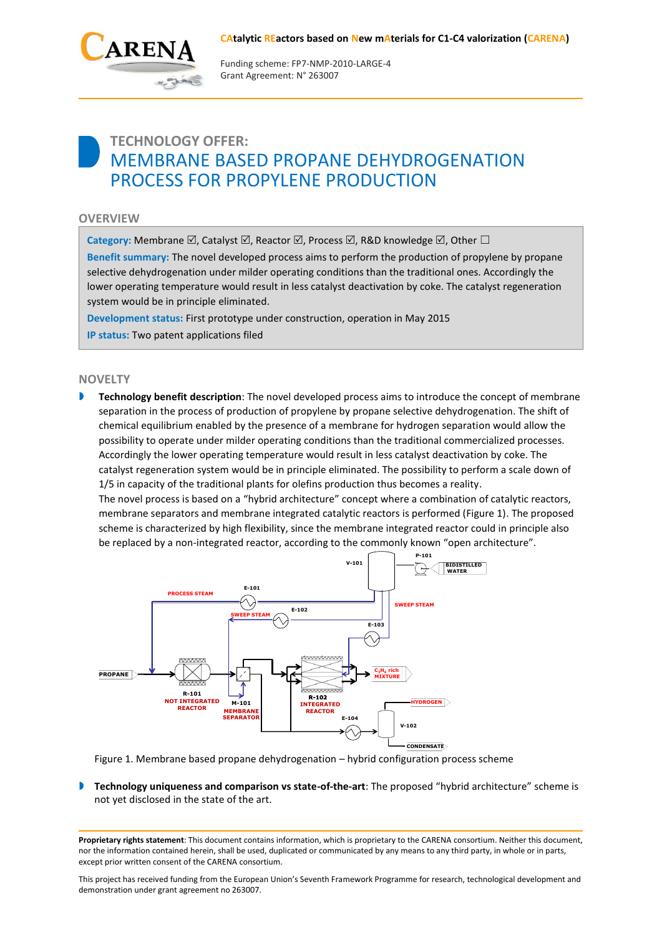## **CAtalytic REactors based on New mAterials for C1-C4 valorization (CARENA)**



Funding scheme: FP7‐NMP‐2010‐LARGE‐4 Grant Agreement: N° 263007

# **TECHNOLOGY OFFER:** MEMBRANE BASED PROPANE DEHYDROGENATION PROCESS FOR PROPYLENE PRODUCTION

# **OVERVIEW**

**Category:** Membrane  $\boxtimes$ , Catalyst  $\boxtimes$ , Reactor  $\boxtimes$ , Process  $\boxtimes$ , R&D knowledge  $\boxtimes$ , Other  $\Box$ 

**Benefit summary:** The novel developed process aims to perform the production of propylene by propane selective dehydrogenation under milder operating conditions than the traditional ones. Accordingly the lower operating temperature would result in less catalyst deactivation by coke. The catalyst regeneration system would be in principle eliminated.

**Development status:** First prototype under construction, operation in May 2015 **IP status:** Two patent applications filed

# **NOVELTY**

**Technology benefit description**: The novel developed process aims to introduce the concept of membrane separation in the process of production of propylene by propane selective dehydrogenation. The shift of chemical equilibrium enabled by the presence of a membrane for hydrogen separation would allow the possibility to operate under milder operating conditions than the traditional commercialized processes. Accordingly the lower operating temperature would result in less catalyst deactivation by coke. The catalyst regeneration system would be in principle eliminated. The possibility to perform a scale down of 1/5 in capacity of the traditional plants for olefins production thus becomes a reality.

The novel process is based on a "hybrid architecture" concept where a combination of catalytic reactors, membrane separators and membrane integrated catalytic reactors is performed (Figure 1). The proposed scheme is characterized by high flexibility, since the membrane integrated reactor could in principle also be replaced by a non-integrated reactor, according to the commonly known "open architecture".



Figure 1. Membrane based propane dehydrogenation – hybrid configuration process scheme

**Technology uniqueness and comparison vs state-of-the-art**: The proposed "hybrid architecture" scheme is not yet disclosed in the state of the art.

**Proprietary rights statement**: This document contains information, which is proprietary to the CARENA consortium. Neither this document, nor the information contained herein, shall be used, duplicated or communicated by any means to any third party, in whole or in parts, except prior written consent of the CARENA consortium.

This project has received funding from the European Union's Seventh Framework Programme for research, technological development and demonstration under grant agreement no 263007.